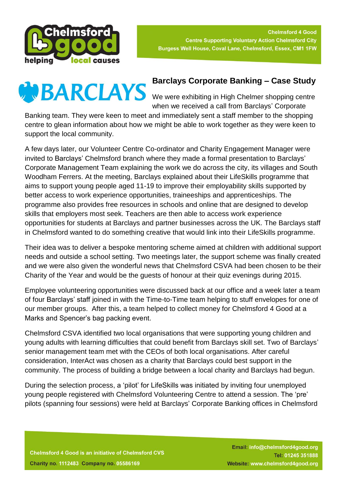



## **Barclays Corporate Banking – Case Study**

when we received a call from Barclays' Corporate

Banking team. They were keen to meet and immediately sent a staff member to the shopping centre to glean information about how we might be able to work together as they were keen to support the local community.

A few days later, our Volunteer Centre Co-ordinator and Charity Engagement Manager were invited to Barclays' Chelmsford branch where they made a formal presentation to Barclays' Corporate Management Team explaining the work we do across the city, its villages and South Woodham Ferrers. At the meeting, Barclays explained about their LifeSkills programme that aims to support young people aged 11-19 to improve their employability skills supported by better access to work experience opportunities, traineeships and apprenticeships. The programme also provides free resources in schools and online that are designed to develop skills that employers most seek. Teachers are then able to access work experience opportunities for students at Barclays and partner businesses across the UK. The Barclays staff in Chelmsford wanted to do something creative that would link into their LifeSkills programme.

Their idea was to deliver a bespoke mentoring scheme aimed at children with additional support needs and outside a school setting. Two meetings later, the support scheme was finally created and we were also given the wonderful news that Chelmsford CSVA had been chosen to be their Charity of the Year and would be the guests of honour at their quiz evenings during 2015.

Employee volunteering opportunities were discussed back at our office and a week later a team of four Barclays' staff joined in with the Time-to-Time team helping to stuff envelopes for one of our member groups. After this, a team helped to collect money for Chelmsford 4 Good at a Marks and Spencer's bag packing event.

Chelmsford CSVA identified two local organisations that were supporting young children and young adults with learning difficulties that could benefit from Barclays skill set. Two of Barclays' senior management team met with the CEOs of both local organisations. After careful consideration, InterAct was chosen as a charity that Barclays could best support in the community. The process of building a bridge between a local charity and Barclays had begun.

During the selection process, a 'pilot' for LifeSkills was initiated by inviting four unemployed young people registered with Chelmsford Volunteering Centre to attend a session. The 'pre' pilots (spanning four sessions) were held at Barclays' Corporate Banking offices in Chelmsford

**Chelmsford 4 Good is an initiative of Chelmsford CVS Charity no. 1112483 Company no. 05586169** 

Email: info@chelmsford4good.org Tel: 01245 351888 Website: www.chelmsford4good.org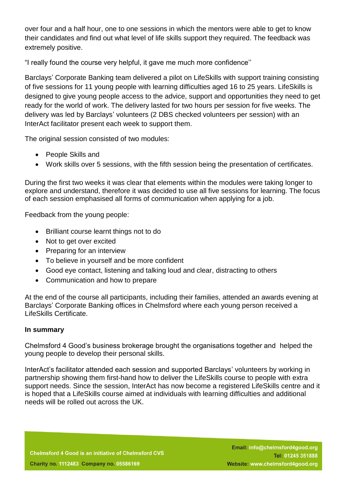over four and a half hour, one to one sessions in which the mentors were able to get to know their candidates and find out what level of life skills support they required. The feedback was extremely positive.

"I really found the course very helpful, it gave me much more confidence''

Barclays' Corporate Banking team delivered a pilot on LifeSkills with support training consisting of five sessions for 11 young people with learning difficulties aged 16 to 25 years. LifeSkills is designed to give young people access to the advice, support and opportunities they need to get ready for the world of work. The delivery lasted for two hours per session for five weeks. The delivery was led by Barclays' volunteers (2 DBS checked volunteers per session) with an InterAct facilitator present each week to support them.

The original session consisted of two modules:

- People Skills and
- Work skills over 5 sessions, with the fifth session being the presentation of certificates.

During the first two weeks it was clear that elements within the modules were taking longer to explore and understand, therefore it was decided to use all five sessions for learning. The focus of each session emphasised all forms of communication when applying for a job.

Feedback from the young people:

- Brilliant course learnt things not to do
- Not to get over excited
- Preparing for an interview
- To believe in yourself and be more confident
- Good eye contact, listening and talking loud and clear, distracting to others
- Communication and how to prepare

At the end of the course all participants, including their families, attended an awards evening at Barclays' Corporate Banking offices in Chelmsford where each young person received a LifeSkills Certificate.

## **In summary**

Chelmsford 4 Good's business brokerage brought the organisations together and helped the young people to develop their personal skills.

InterAct's facilitator attended each session and supported Barclays' volunteers by working in partnership showing them first-hand how to deliver the LifeSkills course to people with extra support needs. Since the session, InterAct has now become a registered LifeSkills centre and it is hoped that a LifeSkills course aimed at individuals with learning difficulties and additional needs will be rolled out across the UK.